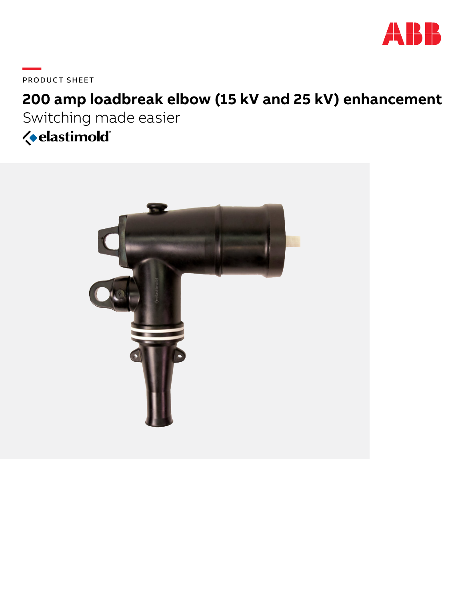

PRODUCT SHEET

# **200 amp loadbreak elbow (15 kV and 25 kV) enhancement**

Switching made easier

*<u></u>* elastimold